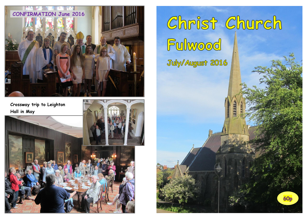

**Crossway trip to Leighton** 



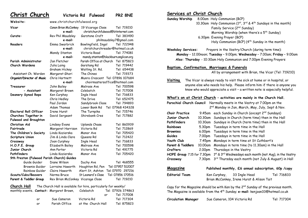**Website:**

**Christ Church Victoria Rd Fulwood PR2 8NE**

**Vicar** Canon Brian McConkey 19 Vicarage Close Tel: 719210 **<sup>e</sup>**-**mail:** christchurchfulwood@btinternet.com**Curate:**Rev Phil Maudsley Garstone Croft Tel: 383490 **<sup>e</sup>**-**mail:** philmaudsley7@gmail.com **Readers** Emma Swarbrick Bowlingfield, Ingol Tel: 722948 **<sup>e</sup>**-**mail:** christchurchreader@hotmail.co.uk Mandy Stanton Victoria Road Tel: 774081 **<sup>e</sup>**-**mail:** mandy.stanton@blackburn.anglican.org **Parish Administrator** Jan Fletcher Parish Office at Church Tel: 875823 **Church Wardens** Julia Laing Garstang Rd Tel: 719442 Graham Hickey Watling St. Rd. Tel: 654438 Assistant Ch. WardenMargaret Ghori The Chines Tel: 719373 **Organist/Director of Music** Chris Hartnett Munro Crescent Tel: 07896 107684 **<sup>e</sup>**-**mail:** choirmastersoffice@hotmail.com**Treasurer** John Bailey Melrose Ave Tel: 700598 **-**Margaret Brown Colebatch Tel: 717008 **Deanery Synod Reps** Ken Curphey Ingle Head Tel: 716833 Chris Hedley The Drive Tel: 652475 Paul Jordan Sandybrook Close Tel: 794893 Adam Thomas Lower Bank Rd Tel: 07968 434328 **Electoral Roll Officer** Irene Hurst The Turnpike Tel: 715746 **Churches Together in** David Sergeant Shirebank Cres Tel: 717882 **Fulwood and Broughton Christian Aid** Lindsey Evans Uplands Chase Tel: 860939 **Fairtrade**Margaret Harrison Victoria Rd
Tel: 712869 **The Children's Society** Linda Koziarska Manor Ave Tel: 705420 **Scripture Union** Jim & Linda Clare Queens Rd Tel: 712422 **Crossway** Joan Curphey Ingle Head Tel: 716833 **H.O.P.E. Group** Elizabeth Bailey Melrose Ave Tel: 700598 **Junior Church** Ann Porter Victoria Rd Tel: 491775**Pathfinders** Linda Koziarska Manor Ave Tel: 705420 **9th Preston (Fulwood Parish Church) Guides** Guide Guider Diane Wilson Duchy Ave Tel: 468555 Brownie Guider Lorraine Haworth Houghton Rd, Pen Tel: 07957 512007 Rainbow Guider Claire Haworth Alert St, Ashton Tel: 07970 297216 **Scouts/Cubs/Beavers** Norma Bruce St Leonard's Close Tel: 07856 170516Parent & Toddler Group Rev Brian McConkey Vicarage Close Tel: 719210

www.christchurchfulwood.org

**Church Hall** The Church Hall is available for hire, particularly for weekly/

|    | monthly events. Contact: Margaret Brown, | Colebatch          |     | Tel: 07926 374863 |
|----|------------------------------------------|--------------------|-----|-------------------|
|    |                                          |                    | nr. | Tel: 717008       |
| or | Sue Cameron                              | Victoria Rd        |     | Tel: 717304       |
| or | Parish Office                            | at the Church Hall |     | Tel: 875823       |

#### **Services at Christ Church**

**Sunday Worship** 8.00am Holy Communion (BCP) 10.30am Holy Communion  $(1^{st}, 3^{rd} \& 4^{th}$  Sundays in the month) Family Service (2n<sup>d</sup> Sunday) Morning Worship (when there's a 5<sup>th</sup> Sunday) 6.30pm Evening Prayer (BCP) Holy Communion (BCP)  $(4^{th}$  Sunday in the month)

**Weekday Services:** Prayers in the Vestry/Church (during term time): **Monday** – 12.00noon; **Tuesday** – 9.00pm; **Wednesday** – 7.00am; **Friday** – 9.00am **Also: Thursday** - 10:30am Holy Communion and 7.00pm Evening Prayers

#### **Baptism, Confirmation, Marriages & Funerals**

All by arrangement with Brian, the Vicar (Tel: 719210)

**Visiting** The Vicar is always ready to visit the sick at home or in hospital, or anyone else who needs his help. Please inform him if there is anyone you know who would appreciate a visit – a written note is especially helpful.

#### **What's on at Christ Church – activities are mainly in the Church Hall.**

| Parochial Church Council<br>Normally meets in the Vestry at 7.00pm on the |         |                                                                                              |  |  |
|---------------------------------------------------------------------------|---------|----------------------------------------------------------------------------------------------|--|--|
| 2 <sup>nd</sup> Monday in Jan, March, May, July, Sept & Nov.              |         |                                                                                              |  |  |
| <b>Choir Practice</b>                                                     | 9.45am  | each Sunday in Church (except 2 <sup>nd</sup> Sundays)                                       |  |  |
| Junior Church                                                             | 10.30am | Sundays in Church (term time) then in the Hall                                               |  |  |
| Pathfinders                                                               | 10.30am | Sundays in Church (term time) then in the Hall                                               |  |  |
| <b>Rainbows</b>                                                           | 5.30pm  | Tuesdays in term time in the Hall                                                            |  |  |
| <b>Brownies</b>                                                           | 6.00pm  | Tuesdays in term time in the Hall                                                            |  |  |
| <b>Guides</b>                                                             | 7.00pm  | Tuesdays in term time in the Hall                                                            |  |  |
| Youth Club                                                                | 7.45pm  | Mondays in term time at St Cuthbert's                                                        |  |  |
| Parent & Toddlers                                                         | 10.00am | Mondays in term time (to 11.30am) in the Hall                                                |  |  |
| Crafters                                                                  | 2.00pm  | Thursdays in the Vestry                                                                      |  |  |
| HOPE Group 7.15 for 7.30pm                                                |         | 1st & 3rd Wednesdays each month (not Aug), in the Vestry                                     |  |  |
| Crossway                                                                  | 7.30pm  | 3rd Thursday each month (not July & August) in Hall                                          |  |  |
| Magazine<br>Published monthly, £6 annual subscription, 60p /copy          |         |                                                                                              |  |  |
| <b>Editorial Team</b>                                                     |         | Tel: 716833<br>Ken Curphey, 33 Ingle Head                                                    |  |  |
|                                                                           |         | Brian McConkey, Irene Hurst & Alison Tait                                                    |  |  |
|                                                                           |         | Copy for the Magazine should be with Ken by the 2 <sup>nd</sup> Sunday of the previous month |  |  |

Copy for the Magazine should be with Ken by the 2 $^{\sf{nd}}$  Sunday of the previous month. The Magazine is available from the 4th Sunday; **e-mail:** kenjoan33@hotmail.co.uk

| Circulation Manager | Sue Cameron, 104 Victoria Rd | Tel: 717304 |
|---------------------|------------------------------|-------------|
|---------------------|------------------------------|-------------|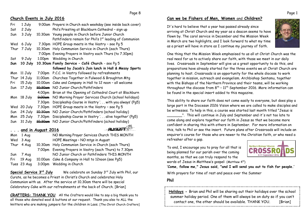# **Church Events in July 2016**

| Fri  | 1 July  |                           | 9.00am Prayers in Church each weekday (see inside back cover) |
|------|---------|---------------------------|---------------------------------------------------------------|
| Sat  | 2 July  |                           | Phil's Priesting at Blackburn Cathedral - sign up             |
| Sun  | 3 July  | 10.30am                   | Young people in Church before Junior Church                   |
|      |         |                           | Pathfinders remain for Phil's 1st leading of Communion        |
| Wed  | 6 July  | 7.30 <sub>pm</sub>        | HOPE Group meets in the Vestry - see Pg 5                     |
| Thur | 7 July  | 10.30am                   | Holy Communion Service in Church (each Thurs)                 |
|      |         | 7.00pm                    | Evening Prayers in Vestry each Thurs (to 7.30pm)              |
| Sat  | 9 July  | 1.00pm                    | Wedding in Church                                             |
| Sun  | 10 July |                           | 10.30am Family Service - Café Church - see Pg 5               |
|      |         |                           | followed by Jacob's Join lunch in Hall & Messy Sports         |
| Mon  | 11 July | 7.00pm                    | P.C.C. in Vestry followed by refreshments                     |
| Thur | 14 July | 11.00am                   | Churches Together in Fulwood & Broughton Mtg                  |
| Fri  | 15 July | 10.00am                   | Cake and Company in Hall to 12 noon - all welcome             |
| Sun  | 17 July | <del>10.30am</del>        | NO Junior Church/Pathfinders                                  |
|      |         | 4.00pm                    | Brian at the Opening of Cathedral Court at Blackburn          |
| Mon  | 18 July | <del>9.00am</del>         | NO Morning Prayer Services Church (school holidays)           |
|      |         | 7.30pm                    | Discipleship Course in Vestry ' with you always' (Pq5)        |
| Wed  | 20 July | 7.30pm                    | HOPE Group meets in the Vestry - see Pg 5                     |
| Sun  | 24 July | 10.30am                   | NO Junior Church/Pathfinders (school holiday)                 |
| Mon  | 25 July | 7.30pm                    | Discipleship Course in Vestry ' alive together' (Pg5)         |
| Sun  | 31 July | <del>10.30am</del>        | NO Junior Church/Pathfinders (school holiday)                 |
|      |         |                           | ALICUS                                                        |
|      |         | <u>and in August 2016</u> |                                                               |
| Mon  | 1 Aug   |                           | NO Morning Prayer Services Church THIS MONTH                  |
| Wed  | 3 Aug   |                           | HOPE Meetings - NO mtgs in August                             |
| Thur | 4 Aua   | 10.30am                   | Holy Communion Service in Church (each Thurs)                 |

4 Aug 10.30am Holy Communion Service in Church (each Thurs) 7.00pm Evening Prayers in Vestry (each Thurs) to 7.30pm Sun 7 Aug NO Junior Church or Pathfinders THIS MONTH Fri 19 Aug 10.00am Cake & Company in Hall to 12noon (see Pg5) Tues 23 Aug 3.00pm Wedding in Church

**Special Service 3r<sup>d</sup> July** We celebrate on Sunday 3r<sup>d</sup> July with Phil, our Curate, as he becomes a Priest in Christ's Church and celebrates Holy Communion with us. After the service at 10.30am there will be special Celebratory Cake with our refreshments at the back of Church. [Brian]

**CRAFTERS: THANK YOU** All the Crafters would like to say a big thank you to all those who donated wool & buttons at our request. Thank you also to ALL the knitters who are making jumpers for the children in Laos. [The Christ Church Crafters]

# **Can we be Fishers of Men, Women** and **Children?**

It's hard to believe that a year has passed already since arriving at Christ Church and my year as a deacon seems to have flown by. The carol service in December and the Mission Week in March are two highlights, and I look forward to what my time as a priest will have in store as I continue my journey of faith.



One thing that the Mission Week emphasised to us all at Christ Church was the real need for us to actively share our faith, with those we meet in our daily lives. Crossroads in September will give us a great opportunity to do this, and preparations have already started for the three events we at Christ Church are planning to host. Crossroads is an opportunity for the whole diocese to work together in mission, outreach and evangelism. Archbishop Sentamu, together with the Bishops of the Northern Province and their teams, will be working throughout the diocese from  $8^{th}$  -  $11^{th}$  September 2016. More information can be found in the special insert added to this magazine.

This ability to share our faith does not come easily to everyone, but does play a large part in the Diocesan 2026 Vision where we are called to make disciples and be witnesses. To help in this, a course was started last month titled "Jesus is

\_\_\_\_\_\_\_". This will continue in July and September and it's not too late to come along and explore together our faith in Jesus so that we become more confident in sharing this with others in September. For more information on this, talk to Phil or see the insert. Future plans after Crossroads will include an enquirer's course for those who are newer to the Christian faith, or who need a refresher after a gap.

To end, I encourage you to pray for all that is being planned for our parish over the coming months, so that we can truly respond to the words of Jesus in Matthew's gospel: (Matthew 419)



**'Come, follow me," Jesus said, "and I will send you out to fish for people.'** 

With prayers for time of rest and peace over the Summer

### **Phil**

**Holidays -** Brian and Phil will be sharing out their holidays over the school summer holiday period. One of them will always be on duty so if you can't contact one, the other should be available. THANK YOU. [Brian]

Page 1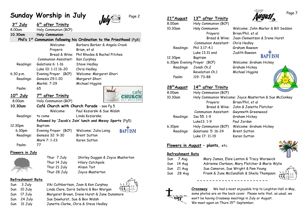# **Sunday Worship in July 1. 1.2 8 Page 2**



| 3 <sup>rd</sup> July  | 6 <sup>th</sup> after Trinity |                                                                                   |
|-----------------------|-------------------------------|-----------------------------------------------------------------------------------|
| 8.00am                | Holy Communion (BCP)          |                                                                                   |
| 10.30am               | Holy Communion                |                                                                                   |
|                       |                               | Phil's 1 <sup>st</sup> Communion following his Ordination to the Priesthood (Pg8) |
|                       | Welcome:                      | Barbara Barber & Angela Crook                                                     |
|                       | Prayers:                      | Brian, et al                                                                      |
|                       | Bread & Wine:                 | Phil Rhodes & Rachel Pitches                                                      |
|                       | Communion Assistant:          | Ken Curphey                                                                       |
| Readings:             | Galatians 6: 1-16             | Steve Hedley                                                                      |
|                       | Luke 10: 1-11 16-20           | Chris Hedley                                                                      |
| 6.30 p.m.             | Evening Prayer (BCP)          | Welcome: Margaret Ghori                                                           |
| Readings:             | Genesis 29:1-20               | Margaret Ghori                                                                    |
|                       | Mark6: 7-29                   | Michael Higgins                                                                   |
| Psalm:                | 65                            |                                                                                   |
| 10 <sup>th</sup> July | 7 <sup>th</sup> after Trinity | cafe                                                                              |
| 8.00am                | Holy Communion (BCP)          |                                                                                   |
| 10.30am               |                               | Café Church with Church Parade - see Pg 5                                         |
|                       | Welcome:                      | Paul Koziarski & Sue Walsh                                                        |
| Readings:             | to come                       | Linda Koziarska                                                                   |
|                       |                               | followed by 'Jacob's Join' lunch and Messy Sports (Pg5)                           |
| 12.30pm               | Baptism                       |                                                                                   |
| 6.30pm                | Evening Prayer (BCP)          | <b>BAP</b> ISM<br>Welcome: Julia Laing                                            |
| Readings:             | Genesis 32: 9-30              | <b>Brent Sutton</b>                                                               |
|                       | Mark 7: 1-23                  | Karen Sutton                                                                      |
| Psalm:                | 77                            |                                                                                   |

### **Flowers in July**



Shirley Duggan & Joyce Masterton Thur 14 July Hilary Catchpole Thur 21 July Alison Tait Thur 28 July Joyce Masterton

#### **Refreshment Rota**

Sun3 July Sun10 July Sun17 July Sun24 July Sun

Viki Cuthbertson, Joan & Ken Curphey Linda Clare, Doris Sellers & Bev Worgan Margaret Brown, Irene Hurst & Jane Dunsmore Sue Dewhurst, Sue & Bex Walsh

31 July Janette Clarke, Chris & Steve Hedley

Thur 7

| 21 <sup>st</sup> August | 13 <sup>th</sup> after Trinity |                                                        |
|-------------------------|--------------------------------|--------------------------------------------------------|
| 8.00am                  | Holy Communion (BCP)           |                                                        |
| 10.30am                 | Holy Communion                 | Welcome: John Marler & Bill Seddon                     |
|                         | Prayers:                       | Brian/Phil, et al                                      |
|                         | Bread & Wine:                  | Jean Clementson & Irene Hurst                          |
|                         | Communion Assistant:           | Chris Hedley                                           |
| Readings:               | Phil 3.17-4.1                  | Graham Rawson                                          |
|                         | Luke 13,31 end                 | Judith Rawson                                          |
| 12.30pm                 | Baptism                        | <b>ISM</b>                                             |
|                         | 6.30pm Evening Prayer (BCP)    | Welcome: Graham Hickey                                 |
| Readings:               | Jonah Ch.2                     | Graham Hickey                                          |
|                         | Revelation Ch.1                | Michael Higgins                                        |
| Psalm:                  | 119: 73-88                     | GOD                                                    |
| 28 <sup>th</sup> August | 14 <sup>th</sup> after Trinity |                                                        |
| 8.00am                  | Holy Communion (BCP)           |                                                        |
| 10.30am                 |                                | Holy Communion Welcome: Joyce Masterton & Sue McConkey |
|                         | Prayers:                       | Brian/Phil, et al                                      |
|                         |                                | Bread & Wine: John & Janette Fletcher                  |
|                         | Communion Assistant:           | Gwynneth Greenwood                                     |
| Readings:               | Isa 55.1-9                     | Graham Hickey                                          |
|                         | Luke13. 1-9                    | Paul Jordan                                            |
| 6.30pm                  | Holy Communion (BCP)           | Welcome: Graham Hickey                                 |
| Readings:               | Galatians: 5: 16-24            | <b>Brent Sutton</b>                                    |
|                         | Luke 17: 11-19                 | Karen Sutton                                           |

**after Trinity**

### **Flowers in August – plants,** etc.

#### **Refreshment Rota**

| Sun 7 Aug  | Mary James, Elsie Lenton & Tracy Worswick             |
|------------|-------------------------------------------------------|
| Sun 14 Aug | Adrienne Clarkson, Mary Fletcher & Marie Wylie        |
| Sun 21 Aug | Sue Cameron, Sue Wright & Pam Young                   |
| Sun 28 Aug | ្ត<br>តិ<br>Frank & June McCandlish & Sheila Thompson |
|            |                                                       |

~ ~ ~ ~ ~ ~ ~ ~ ~ ~ ~ ~ ~ ~ ~ ~ ~ ~ ~ ~ ~ ~ ~





**Crossway** We had a most enjoyable trip to Leighton Hall in May, some photos are on the back cover. Please note that, as usual, we won't be having Crossway meetings in July or August. We meet again on Thurs 15<sup>th</sup> September.



Page 7

Marler & Bill Seddon n & Irene Hurst **BAPTISM** m Hickey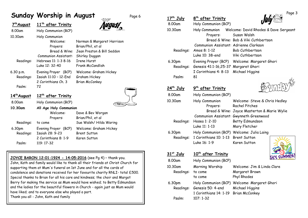# **Sunday Worship in August** Page 6

| 7th August         | 11 <sup>th</sup> after Trinity        |                                              |
|--------------------|---------------------------------------|----------------------------------------------|
| 8.00am             | Holy Communion (BCP)                  |                                              |
| 10.30am            | Holy Communion<br>Welcome:            | Norman & Margaret Harrison                   |
|                    | Prayers:                              | Brian/Phil, et al                            |
|                    | Bread & Wine:<br>Communion Assistant: | Jean Preston & Bill Seddon<br>Shirley Duggan |
| Readings:          | Hebrews 11: 1-3 8-16                  | <b>Irene Hurst</b>                           |
|                    | Luke 12: 32-40                        | Frank McCandlish                             |
| 6.30 p.m.          | Evening Prayer (BCP)                  | Welcome: Graham Hickey                       |
| Readings:          | Isaiah 11:10 - 12-End                 | Graham Hickey                                |
|                    | 2 Corinthians Ch. 3                   | <b>Brian McConkey</b>                        |
| Psalm:             | 72                                    |                                              |
| <u>14th August</u> | 12 <sup>th</sup> after Trinity        |                                              |
| 8.00am             | Holy Communion (BCP)                  | ఇాం                                          |
| 10.30am            | All Age Holy Communion                |                                              |
|                    | Welcome:<br>Prayers:                  | Dave & Bev Worgan<br>Brian/Phil, et al       |
| Readings:          | to come                               | Sue Walsh/Hilda Waring                       |
| 6.30 <sub>pm</sub> | Evening Prayer (BCP)                  | Welcome: Graham Hickey                       |
| Readings:          | <b>Isaiah 28: 9-23</b>                | <b>Brent Sutton</b>                          |
| Psalm:             | 2 Corinthians 8: 1-9<br>119: 17-32    | Karen Sutton                                 |

### **JOYCE BARON 12:01:1924 - 14:05:2016** (see Pg 4) – thank you.

John, Kath and family would like to thank all their friends at Christ Church for supporting them at Mum's funeral on 1st June and for all the cards of condolence and donations received for her favourite charity RNLI- total £500. Special thanks to Brian for all his care and kindness; the choir and Margot Berry for making the service as Mum would have wished; to Betty Edmundson and the ladies for the beautiful flowers in Church - again just as Mum would have liked; and to everyone else who played a part. Thank you all - John, Kath and family

| 17 <sup>th</sup> July<br>8.00am | 8 <sup>th</sup> after Trinity<br>Holy Communion (BCP)                               |                                                                                          |
|---------------------------------|-------------------------------------------------------------------------------------|------------------------------------------------------------------------------------------|
| 10.30am                         | Holy Communion                                                                      | Welcome: David Rhodes & Dave Sergeant                                                    |
|                                 | Prayers:<br>Communion Assistant: Adrienne Clarkson                                  | Susan Walsh<br>Bread & Wine: Bob & Viki Cuthbertson                                      |
| Readings:                       | Amos 8: 1-12<br>Luke 10: 38-end                                                     | Bob Cuthbertson<br>Viki Cuthbertson                                                      |
| 6.30pm<br>Readings:             | Genesis 41:1-16,25-37 Margaret Ghori<br>I Corinthians 4: 8-13                       | Evening Prayer (BCP) Welcome: Margaret Ghori<br>Michael Higgins                          |
| Psalm:                          | 81                                                                                  |                                                                                          |
| $24$ <sup>th</sup> July         | 9 <sup>th</sup> after Trinity                                                       |                                                                                          |
| 8.00am                          | Holy Communion (BCP)                                                                |                                                                                          |
| 10.30am                         | Holy Communion<br>Prayers:                                                          | Welcome: Steve & Chris Hedley<br><b>Rachel Pitches</b>                                   |
|                                 | Communion Assistant: Gwynneth Greenwood                                             | Bread & Wine: Joyce Masterton & Marie Wylie                                              |
| Readings:                       | Hosea 1: 2-10<br>Luke 11: 1-13                                                      | Betty Edmundson<br>Mary Fletcher                                                         |
| 6.30pm<br>Readings:             | Holy Communion (BCP) Welcome: Julia Laing<br>1 Corinthians 10: 1-13<br>Luke 16: 1-9 | <b>Brent Sutton</b><br>Karen Sutton                                                      |
| 31st July                       | 10 <sup>th</sup> after Trinity                                                      |                                                                                          |
| 8.00am                          | Holy Communion (BCP)                                                                |                                                                                          |
| 10.30am<br>Readings:            | Morning Worship<br>to come<br>to come                                               | Welcome: Jim & Linda Clare<br>Margaret Brown<br>Phyl Rhodes                              |
| 6.30pm<br>Readings:             | Genesis 50: 4-end<br>1 Corinthians 14: 1-19                                         | Holy Communion (BCP) Welcome: Margaret Ghori<br>Michael Higgins<br><b>Brian McConkey</b> |
| Psalm:                          | $107:1-32$                                                                          |                                                                                          |

 $P$ age 3